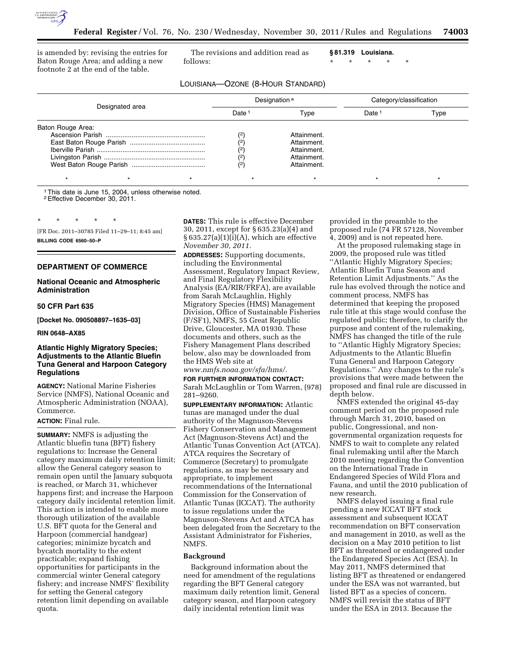

is amended by: revising the entries for Baton Rouge Area; and adding a new footnote 2 at the end of the table.

The revisions and addition read as follows:

**§ 81.319 Louisiana.** 

LOUISIANA—OZONE (8-HOUR STANDARD)

\* \* \* \* \*

| Designated area   | Designation <sup>a</sup> |             | Category/classification |      |
|-------------------|--------------------------|-------------|-------------------------|------|
|                   | Date <sup>1</sup>        | Type        | Date <sup>1</sup>       | Type |
| Baton Rouge Area: |                          |             |                         |      |
|                   | (2)                      | Attainment. |                         |      |
|                   | (2)                      | Attainment. |                         |      |
|                   | (2)                      | Attainment. |                         |      |
|                   | (2)<br>(2)               | Attainment. |                         |      |
|                   |                          | Attainment. |                         |      |
|                   |                          |             |                         |      |
|                   |                          |             |                         |      |

1This date is June 15, 2004, unless otherwise noted.

2Effective December 30, 2011.

\* \* \* \* \*

[FR Doc. 2011–30785 Filed 11–29–11; 8:45 am] **BILLING CODE 6560–50–P** 

# **DEPARTMENT OF COMMERCE**

# **National Oceanic and Atmospheric Administration**

# **50 CFR Part 635**

**[Docket No. 090508897–1635–03]** 

#### **RIN 0648–AX85**

# **Atlantic Highly Migratory Species; Adjustments to the Atlantic Bluefin Tuna General and Harpoon Category Regulations**

**AGENCY:** National Marine Fisheries Service (NMFS), National Oceanic and Atmospheric Administration (NOAA), Commerce.

#### **ACTION:** Final rule.

**SUMMARY:** NMFS is adjusting the Atlantic bluefin tuna (BFT) fishery regulations to: Increase the General category maximum daily retention limit; allow the General category season to remain open until the January subquota is reached, or March 31, whichever happens first; and increase the Harpoon category daily incidental retention limit. This action is intended to enable more thorough utilization of the available U.S. BFT quota for the General and Harpoon (commercial handgear) categories; minimize bycatch and bycatch mortality to the extent practicable; expand fishing opportunities for participants in the commercial winter General category fishery; and increase NMFS' flexibility for setting the General category retention limit depending on available quota.

**DATES:** This rule is effective December 30, 2011, except for § 635.23(a)(4) and  $§ 635.27(a)(1)(i)(A)$ , which are effective *November 30, 2011.* 

**ADDRESSES:** Supporting documents, including the Environmental Assessment, Regulatory Impact Review, and Final Regulatory Flexibility Analysis (EA/RIR/FRFA), are available from Sarah McLaughlin, Highly Migratory Species (HMS) Management Division, Office of Sustainable Fisheries (F/SF1), NMFS, 55 Great Republic Drive, Gloucester, MA 01930. These documents and others, such as the Fishery Management Plans described below, also may be downloaded from the HMS Web site at

*[www.nmfs.noaa.gov/sfa/hms/.](http://www.nmfs.noaa.gov/sfa/hms/)* 

**FOR FURTHER INFORMATION CONTACT:**  Sarah McLaughlin or Tom Warren, (978) 281–9260.

**SUPPLEMENTARY INFORMATION:** Atlantic tunas are managed under the dual authority of the Magnuson-Stevens Fishery Conservation and Management Act (Magnuson-Stevens Act) and the Atlantic Tunas Convention Act (ATCA). ATCA requires the Secretary of Commerce (Secretary) to promulgate regulations, as may be necessary and appropriate, to implement recommendations of the International Commission for the Conservation of Atlantic Tunas (ICCAT). The authority to issue regulations under the Magnuson-Stevens Act and ATCA has been delegated from the Secretary to the Assistant Administrator for Fisheries, NMFS.

### **Background**

Background information about the need for amendment of the regulations regarding the BFT General category maximum daily retention limit, General category season, and Harpoon category daily incidental retention limit was

provided in the preamble to the proposed rule (74 FR 57128, November 4, 2009) and is not repeated here.

At the proposed rulemaking stage in 2009, the proposed rule was titled ''Atlantic Highly Migratory Species; Atlantic Bluefin Tuna Season and Retention Limit Adjustments.'' As the rule has evolved through the notice and comment process, NMFS has determined that keeping the proposed rule title at this stage would confuse the regulated public; therefore, to clarify the purpose and content of the rulemaking, NMFS has changed the title of the rule to ''Atlantic Highly Migratory Species; Adjustments to the Atlantic Bluefin Tuna General and Harpoon Category Regulations.'' Any changes to the rule's provisions that were made between the proposed and final rule are discussed in depth below.

NMFS extended the original 45-day comment period on the proposed rule through March 31, 2010, based on public, Congressional, and nongovernmental organization requests for NMFS to wait to complete any related final rulemaking until after the March 2010 meeting regarding the Convention on the International Trade in Endangered Species of Wild Flora and Fauna, and until the 2010 publication of new research.

NMFS delayed issuing a final rule pending a new ICCAT BFT stock assessment and subsequent ICCAT recommendation on BFT conservation and management in 2010, as well as the decision on a May 2010 petition to list BFT as threatened or endangered under the Endangered Species Act (ESA). In May 2011, NMFS determined that listing BFT as threatened or endangered under the ESA was not warranted, but listed BFT as a species of concern. NMFS will revisit the status of BFT under the ESA in 2013. Because the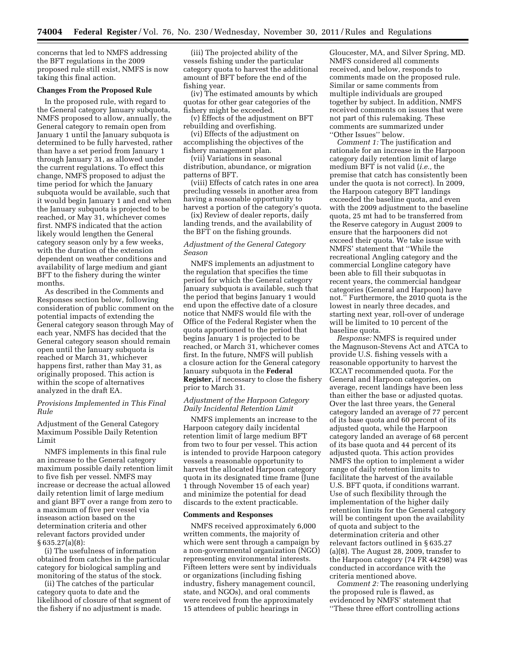concerns that led to NMFS addressing the BFT regulations in the 2009 proposed rule still exist, NMFS is now taking this final action.

## **Changes From the Proposed Rule**

In the proposed rule, with regard to the General category January subquota, NMFS proposed to allow, annually, the General category to remain open from January 1 until the January subquota is determined to be fully harvested, rather than have a set period from January 1 through January 31, as allowed under the current regulations. To effect this change, NMFS proposed to adjust the time period for which the January subquota would be available, such that it would begin January 1 and end when the January subquota is projected to be reached, or May 31, whichever comes first. NMFS indicated that the action likely would lengthen the General category season only by a few weeks, with the duration of the extension dependent on weather conditions and availability of large medium and giant BFT to the fishery during the winter months.

As described in the Comments and Responses section below, following consideration of public comment on the potential impacts of extending the General category season through May of each year, NMFS has decided that the General category season should remain open until the January subquota is reached or March 31, whichever happens first, rather than May 31, as originally proposed. This action is within the scope of alternatives analyzed in the draft EA.

# *Provisions Implemented in This Final Rule*

Adjustment of the General Category Maximum Possible Daily Retention Limit

NMFS implements in this final rule an increase to the General category maximum possible daily retention limit to five fish per vessel. NMFS may increase or decrease the actual allowed daily retention limit of large medium and giant BFT over a range from zero to a maximum of five per vessel via inseason action based on the determination criteria and other relevant factors provided under § 635.27(a)(8):

(i) The usefulness of information obtained from catches in the particular category for biological sampling and monitoring of the status of the stock.

(ii) The catches of the particular category quota to date and the likelihood of closure of that segment of the fishery if no adjustment is made.

(iii) The projected ability of the vessels fishing under the particular category quota to harvest the additional amount of BFT before the end of the fishing year.

(iv) The estimated amounts by which quotas for other gear categories of the fishery might be exceeded.

(v) Effects of the adjustment on BFT rebuilding and overfishing.

(vi) Effects of the adjustment on accomplishing the objectives of the fishery management plan.

(vii) Variations in seasonal distribution, abundance, or migration patterns of BFT.

(viii) Effects of catch rates in one area precluding vessels in another area from having a reasonable opportunity to harvest a portion of the category's quota.

(ix) Review of dealer reports, daily landing trends, and the availability of the BFT on the fishing grounds.

# *Adjustment of the General Category Season*

NMFS implements an adjustment to the regulation that specifies the time period for which the General category January subquota is available, such that the period that begins January 1 would end upon the effective date of a closure notice that NMFS would file with the Office of the Federal Register when the quota apportioned to the period that begins January 1 is projected to be reached, or March 31, whichever comes first. In the future, NMFS will publish a closure action for the General category January subquota in the **Federal Register,** if necessary to close the fishery prior to March 31.

# *Adjustment of the Harpoon Category Daily Incidental Retention Limit*

NMFS implements an increase to the Harpoon category daily incidental retention limit of large medium BFT from two to four per vessel. This action is intended to provide Harpoon category vessels a reasonable opportunity to harvest the allocated Harpoon category quota in its designated time frame (June 1 through November 15 of each year) and minimize the potential for dead discards to the extent practicable.

#### **Comments and Responses**

NMFS received approximately 6,000 written comments, the majority of which were sent through a campaign by a non-governmental organization (NGO) representing environmental interests. Fifteen letters were sent by individuals or organizations (including fishing industry, fishery management council, state, and NGOs), and oral comments were received from the approximately 15 attendees of public hearings in

Gloucester, MA, and Silver Spring, MD. NMFS considered all comments received, and below, responds to comments made on the proposed rule. Similar or same comments from multiple individuals are grouped together by subject. In addition, NMFS received comments on issues that were not part of this rulemaking. These comments are summarized under ''Other Issues'' below.

*Comment 1:* The justification and rationale for an increase in the Harpoon category daily retention limit of large medium BFT is not valid (*i.e.,* the premise that catch has consistently been under the quota is not correct). In 2009, the Harpoon category BFT landings exceeded the baseline quota, and even with the 2009 adjustment to the baseline quota, 25 mt had to be transferred from the Reserve category in August 2009 to ensure that the harpooners did not exceed their quota. We take issue with NMFS' statement that ''While the recreational Angling category and the commercial Longline category have been able to fill their subquotas in recent years, the commercial handgear categories (General and Harpoon) have not.'' Furthermore, the 2010 quota is the lowest in nearly three decades, and starting next year, roll-over of underage will be limited to 10 percent of the baseline quota.

*Response:* NMFS is required under the Magnuson-Stevens Act and ATCA to provide U.S. fishing vessels with a reasonable opportunity to harvest the ICCAT recommended quota. For the General and Harpoon categories, on average, recent landings have been less than either the base or adjusted quotas. Over the last three years, the General category landed an average of 77 percent of its base quota and 60 percent of its adjusted quota, while the Harpoon category landed an average of 68 percent of its base quota and 44 percent of its adjusted quota. This action provides NMFS the option to implement a wider range of daily retention limits to facilitate the harvest of the available U.S. BFT quota, if conditions warrant. Use of such flexibility through the implementation of the higher daily retention limits for the General category will be contingent upon the availability of quota and subject to the determination criteria and other relevant factors outlined in § 635.27 (a)(8). The August 28, 2009, transfer to the Harpoon category (74 FR 44298) was conducted in accordance with the criteria mentioned above.

*Comment 2:* The reasoning underlying the proposed rule is flawed, as evidenced by NMFS' statement that ''These three effort controlling actions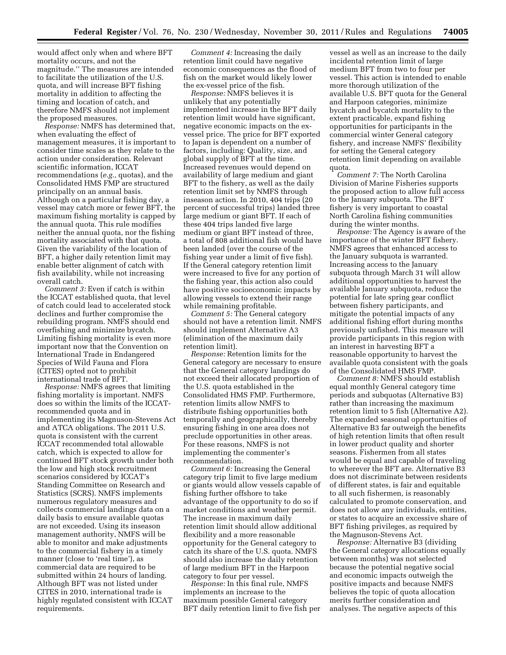would affect only when and where BFT mortality occurs, and not the magnitude.'' The measures are intended to facilitate the utilization of the U.S. quota, and will increase BFT fishing mortality in addition to affecting the timing and location of catch, and therefore NMFS should not implement the proposed measures.

*Response:* NMFS has determined that, when evaluating the effect of management measures, it is important to consider time scales as they relate to the action under consideration. Relevant scientific information, ICCAT recommendations (*e.g.,* quotas), and the Consolidated HMS FMP are structured principally on an annual basis. Although on a particular fishing day, a vessel may catch more or fewer BFT, the maximum fishing mortality is capped by the annual quota. This rule modifies neither the annual quota, nor the fishing mortality associated with that quota. Given the variability of the location of BFT, a higher daily retention limit may enable better alignment of catch with fish availability, while not increasing overall catch.

*Comment 3:* Even if catch is within the ICCAT established quota, that level of catch could lead to accelerated stock declines and further compromise the rebuilding program. NMFS should end overfishing and minimize bycatch. Limiting fishing mortality is even more important now that the Convention on International Trade in Endangered Species of Wild Fauna and Flora (CITES) opted not to prohibit international trade of BFT.

*Response:* NMFS agrees that limiting fishing mortality is important. NMFS does so within the limits of the ICCATrecommended quota and in implementing its Magnuson-Stevens Act and ATCA obligations. The 2011 U.S. quota is consistent with the current ICCAT recommended total allowable catch, which is expected to allow for continued BFT stock growth under both the low and high stock recruitment scenarios considered by ICCAT's Standing Committee on Research and Statistics (SCRS). NMFS implements numerous regulatory measures and collects commercial landings data on a daily basis to ensure available quotas are not exceeded. Using its inseason management authority, NMFS will be able to monitor and make adjustments to the commercial fishery in a timely manner (close to 'real time'), as commercial data are required to be submitted within 24 hours of landing. Although BFT was not listed under CITES in 2010, international trade is highly regulated consistent with ICCAT requirements.

*Comment 4:* Increasing the daily retention limit could have negative economic consequences as the flood of fish on the market would likely lower the ex-vessel price of the fish.

*Response:* NMFS believes it is unlikely that any potentially implemented increase in the BFT daily retention limit would have significant, negative economic impacts on the exvessel price. The price for BFT exported to Japan is dependent on a number of factors, including: Quality, size, and global supply of BFT at the time. Increased revenues would depend on availability of large medium and giant BFT to the fishery, as well as the daily retention limit set by NMFS through inseason action. In 2010, 404 trips (20 percent of successful trips) landed three large medium or giant BFT. If each of these 404 trips landed five large medium or giant BFT instead of three, a total of 808 additional fish would have been landed (over the course of the fishing year under a limit of five fish). If the General category retention limit were increased to five for any portion of the fishing year, this action also could have positive socioeconomic impacts by allowing vessels to extend their range while remaining profitable.

*Comment 5:* The General category should not have a retention limit. NMFS should implement Alternative A3 (elimination of the maximum daily retention limit).

*Response:* Retention limits for the General category are necessary to ensure that the General category landings do not exceed their allocated proportion of the U.S. quota established in the Consolidated HMS FMP. Furthermore, retention limits allow NMFS to distribute fishing opportunities both temporally and geographically, thereby ensuring fishing in one area does not preclude opportunities in other areas. For these reasons, NMFS is not implementing the commenter's recommendation.

*Comment 6:* Increasing the General category trip limit to five large medium or giants would allow vessels capable of fishing further offshore to take advantage of the opportunity to do so if market conditions and weather permit. The increase in maximum daily retention limit should allow additional flexibility and a more reasonable opportunity for the General category to catch its share of the U.S. quota. NMFS should also increase the daily retention of large medium BFT in the Harpoon category to four per vessel.

*Response:* In this final rule, NMFS implements an increase to the maximum possible General category BFT daily retention limit to five fish per

vessel as well as an increase to the daily incidental retention limit of large medium BFT from two to four per vessel. This action is intended to enable more thorough utilization of the available U.S. BFT quota for the General and Harpoon categories, minimize bycatch and bycatch mortality to the extent practicable, expand fishing opportunities for participants in the commercial winter General category fishery, and increase NMFS' flexibility for setting the General category retention limit depending on available quota.

*Comment 7:* The North Carolina Division of Marine Fisheries supports the proposed action to allow full access to the January subquota. The BFT fishery is very important to coastal North Carolina fishing communities during the winter months.

*Response:* The Agency is aware of the importance of the winter BFT fishery. NMFS agrees that enhanced access to the January subquota is warranted. Increasing access to the January subquota through March 31 will allow additional opportunities to harvest the available January subquota, reduce the potential for late spring gear conflict between fishery participants, and mitigate the potential impacts of any additional fishing effort during months previously unfished. This measure will provide participants in this region with an interest in harvesting BFT a reasonable opportunity to harvest the available quota consistent with the goals of the Consolidated HMS FMP.

*Comment 8:* NMFS should establish equal monthly General category time periods and subquotas (Alternative B3) rather than increasing the maximum retention limit to 5 fish (Alternative A2). The expanded seasonal opportunities of Alternative B3 far outweigh the benefits of high retention limits that often result in lower product quality and shorter seasons. Fishermen from all states would be equal and capable of traveling to wherever the BFT are. Alternative B3 does not discriminate between residents of different states, is fair and equitable to all such fishermen, is reasonably calculated to promote conservation, and does not allow any individuals, entities, or states to acquire an excessive share of BFT fishing privileges, as required by the Magnuson-Stevens Act.

*Response:* Alternative B3 (dividing the General category allocations equally between months) was not selected because the potential negative social and economic impacts outweigh the positive impacts and because NMFS believes the topic of quota allocation merits further consideration and analyses. The negative aspects of this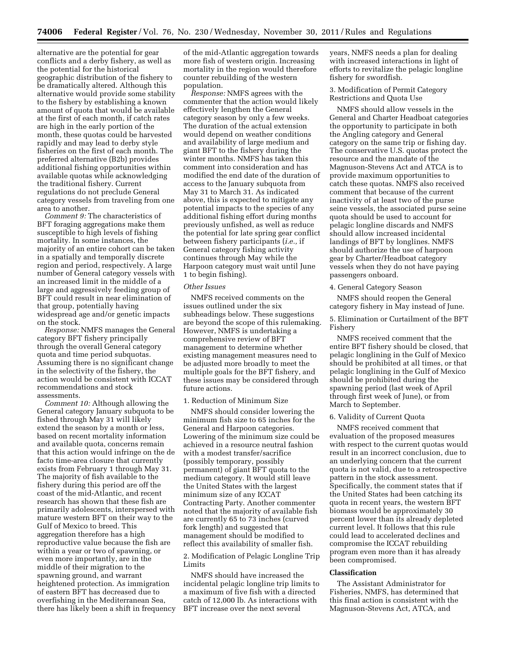alternative are the potential for gear conflicts and a derby fishery, as well as the potential for the historical geographic distribution of the fishery to be dramatically altered. Although this alternative would provide some stability to the fishery by establishing a known amount of quota that would be available at the first of each month, if catch rates are high in the early portion of the month, these quotas could be harvested rapidly and may lead to derby style fisheries on the first of each month. The preferred alternative (B2b) provides additional fishing opportunities within available quotas while acknowledging the traditional fishery. Current regulations do not preclude General category vessels from traveling from one area to another.

*Comment 9:* The characteristics of BFT foraging aggregations make them susceptible to high levels of fishing mortality. In some instances, the majority of an entire cohort can be taken in a spatially and temporally discrete region and period, respectively. A large number of General category vessels with an increased limit in the middle of a large and aggressively feeding group of BFT could result in near elimination of that group, potentially having widespread age and/or genetic impacts on the stock.

*Response:* NMFS manages the General category BFT fishery principally through the overall General category quota and time period subquotas. Assuming there is no significant change in the selectivity of the fishery, the action would be consistent with ICCAT recommendations and stock assessments.

*Comment 10:* Although allowing the General category January subquota to be fished through May 31 will likely extend the season by a month or less, based on recent mortality information and available quota, concerns remain that this action would infringe on the de facto time-area closure that currently exists from February 1 through May 31. The majority of fish available to the fishery during this period are off the coast of the mid-Atlantic, and recent research has shown that these fish are primarily adolescents, interspersed with mature western BFT on their way to the Gulf of Mexico to breed. This aggregation therefore has a high reproductive value because the fish are within a year or two of spawning, or even more importantly, are in the middle of their migration to the spawning ground, and warrant heightened protection. As immigration of eastern BFT has decreased due to overfishing in the Mediterranean Sea, there has likely been a shift in frequency

of the mid-Atlantic aggregation towards more fish of western origin. Increasing mortality in the region would therefore counter rebuilding of the western population.

*Response:* NMFS agrees with the commenter that the action would likely effectively lengthen the General category season by only a few weeks. The duration of the actual extension would depend on weather conditions and availability of large medium and giant BFT to the fishery during the winter months. NMFS has taken this comment into consideration and has modified the end date of the duration of access to the January subquota from May 31 to March 31. As indicated above, this is expected to mitigate any potential impacts to the species of any additional fishing effort during months previously unfished, as well as reduce the potential for late spring gear conflict between fishery participants (*i.e.,* if General category fishing activity continues through May while the Harpoon category must wait until June 1 to begin fishing).

### *Other Issues*

NMFS received comments on the issues outlined under the six subheadings below. These suggestions are beyond the scope of this rulemaking. However, NMFS is undertaking a comprehensive review of BFT management to determine whether existing management measures need to be adjusted more broadly to meet the multiple goals for the BFT fishery, and these issues may be considered through future actions.

# 1. Reduction of Minimum Size

NMFS should consider lowering the minimum fish size to 65 inches for the General and Harpoon categories. Lowering of the minimum size could be achieved in a resource neutral fashion with a modest transfer/sacrifice (possibly temporary, possibly permanent) of giant BFT quota to the medium category. It would still leave the United States with the largest minimum size of any ICCAT Contracting Party. Another commenter noted that the majority of available fish are currently 65 to 73 inches (curved fork length) and suggested that management should be modified to reflect this availability of smaller fish.

2. Modification of Pelagic Longline Trip Limits

NMFS should have increased the incidental pelagic longline trip limits to a maximum of five fish with a directed catch of 12,000 lb. As interactions with BFT increase over the next several

years, NMFS needs a plan for dealing with increased interactions in light of efforts to revitalize the pelagic longline fishery for swordfish.

3. Modification of Permit Category Restrictions and Quota Use

NMFS should allow vessels in the General and Charter Headboat categories the opportunity to participate in both the Angling category and General category on the same trip or fishing day. The conservative U.S. quotas protect the resource and the mandate of the Magnuson-Stevens Act and ATCA is to provide maximum opportunities to catch these quotas. NMFS also received comment that because of the current inactivity of at least two of the purse seine vessels, the associated purse seine quota should be used to account for pelagic longline discards and NMFS should allow increased incidental landings of BFT by longlines. NMFS should authorize the use of harpoon gear by Charter/Headboat category vessels when they do not have paying passengers onboard.

### 4. General Category Season

NMFS should reopen the General category fishery in May instead of June.

5. Elimination or Curtailment of the BFT Fishery

NMFS received comment that the entire BFT fishery should be closed, that pelagic longlining in the Gulf of Mexico should be prohibited at all times, or that pelagic longlining in the Gulf of Mexico should be prohibited during the spawning period (last week of April through first week of June), or from March to September.

# 6. Validity of Current Quota

NMFS received comment that evaluation of the proposed measures with respect to the current quotas would result in an incorrect conclusion, due to an underlying concern that the current quota is not valid, due to a retrospective pattern in the stock assessment. Specifically, the comment states that if the United States had been catching its quota in recent years, the western BFT biomass would be approximately 30 percent lower than its already depleted current level. It follows that this rule could lead to accelerated declines and compromise the ICCAT rebuilding program even more than it has already been compromised.

# **Classification**

The Assistant Administrator for Fisheries, NMFS, has determined that this final action is consistent with the Magnuson-Stevens Act, ATCA, and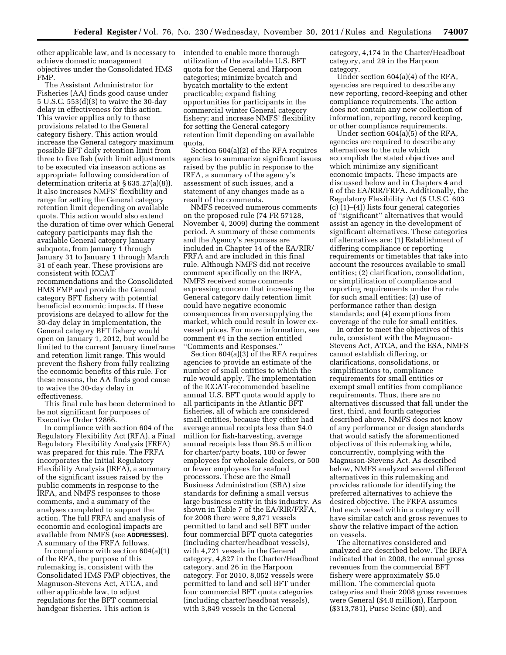other applicable law, and is necessary to achieve domestic management objectives under the Consolidated HMS FMP.

The Assistant Administrator for Fisheries (AA) finds good cause under 5 U.S.C. 553(d)(3) to waive the 30-day delay in effectiveness for this action. This wavier applies only to those provisions related to the General category fishery. This action would increase the General category maximum possible BFT daily retention limit from three to five fish (with limit adjustments to be executed via inseason actions as appropriate following consideration of determination criteria at § 635.27(a)(8)). It also increases NMFS' flexibility and range for setting the General category retention limit depending on available quota. This action would also extend the duration of time over which General category participants may fish the available General category January subquota, from January 1 through January 31 to January 1 through March 31 of each year. These provisions are consistent with ICCAT recommendations and the Consolidated HMS FMP and provide the General category BFT fishery with potential beneficial economic impacts. If these provisions are delayed to allow for the 30-day delay in implementation, the General category BFT fishery would open on January 1, 2012, but would be limited to the current January timeframe and retention limit range. This would prevent the fishery from fully realizing the economic benefits of this rule. For these reasons, the AA finds good cause to waive the 30-day delay in effectiveness.

This final rule has been determined to be not significant for purposes of Executive Order 12866.

In compliance with section 604 of the Regulatory Flexibility Act (RFA), a Final Regulatory Flexibility Analysis (FRFA) was prepared for this rule. The FRFA incorporates the Initial Regulatory Flexibility Analysis (IRFA), a summary of the significant issues raised by the public comments in response to the IRFA, and NMFS responses to those comments, and a summary of the analyses completed to support the action. The full FRFA and analysis of economic and ecological impacts are available from NMFS (see **ADDRESSES**). A summary of the FRFA follows.

In compliance with section 604(a)(1) of the RFA, the purpose of this rulemaking is, consistent with the Consolidated HMS FMP objectives, the Magnuson-Stevens Act, ATCA, and other applicable law, to adjust regulations for the BFT commercial handgear fisheries. This action is

intended to enable more thorough utilization of the available U.S. BFT quota for the General and Harpoon categories; minimize bycatch and bycatch mortality to the extent practicable; expand fishing opportunities for participants in the commercial winter General category fishery; and increase NMFS' flexibility for setting the General category retention limit depending on available quota.

Section 604(a)(2) of the RFA requires agencies to summarize significant issues raised by the public in response to the IRFA, a summary of the agency's assessment of such issues, and a statement of any changes made as a result of the comments.

NMFS received numerous comments on the proposed rule (74 FR 57128, November 4, 2009) during the comment period. A summary of these comments and the Agency's responses are included in Chapter 14 of the EA/RIR/ FRFA and are included in this final rule. Although NMFS did not receive comment specifically on the IRFA, NMFS received some comments expressing concern that increasing the General category daily retention limit could have negative economic consequences from oversupplying the market, which could result in lower exvessel prices. For more information, see comment #4 in the section entitled ''Comments and Responses.''

Section 604(a)(3) of the RFA requires agencies to provide an estimate of the number of small entities to which the rule would apply. The implementation of the ICCAT-recommended baseline annual U.S. BFT quota would apply to all participants in the Atlantic BFT fisheries, all of which are considered small entities, because they either had average annual receipts less than \$4.0 million for fish-harvesting, average annual receipts less than \$6.5 million for charter/party boats, 100 or fewer employees for wholesale dealers, or 500 or fewer employees for seafood processors. These are the Small Business Administration (SBA) size standards for defining a small versus large business entity in this industry. As shown in Table 7 of the EA/RIR/FRFA, for 2008 there were 9,871 vessels permitted to land and sell BFT under four commercial BFT quota categories (including charter/headboat vessels), with 4,721 vessels in the General category, 4,827 in the Charter/Headboat category, and 26 in the Harpoon category. For 2010, 8,052 vessels were permitted to land and sell BFT under four commercial BFT quota categories (including charter/headboat vessels), with 3,849 vessels in the General

category, 4,174 in the Charter/Headboat category, and 29 in the Harpoon category.

Under section 604(a)(4) of the RFA, agencies are required to describe any new reporting, record-keeping and other compliance requirements. The action does not contain any new collection of information, reporting, record keeping, or other compliance requirements.

Under section 604(a)(5) of the RFA, agencies are required to describe any alternatives to the rule which accomplish the stated objectives and which minimize any significant economic impacts. These impacts are discussed below and in Chapters 4 and 6 of the EA/RIR/FRFA. Additionally, the Regulatory Flexibility Act (5 U.S.C. 603 (c) (1)–(4)) lists four general categories of ''significant'' alternatives that would assist an agency in the development of significant alternatives. These categories of alternatives are: (1) Establishment of differing compliance or reporting requirements or timetables that take into account the resources available to small entities; (2) clarification, consolidation, or simplification of compliance and reporting requirements under the rule for such small entities; (3) use of performance rather than design standards; and (4) exemptions from coverage of the rule for small entities.

In order to meet the objectives of this rule, consistent with the Magnuson-Stevens Act, ATCA, and the ESA, NMFS cannot establish differing, or clarifications, consolidations, or simplifications to, compliance requirements for small entities or exempt small entities from compliance requirements. Thus, there are no alternatives discussed that fall under the first, third, and fourth categories described above. NMFS does not know of any performance or design standards that would satisfy the aforementioned objectives of this rulemaking while, concurrently, complying with the Magnuson-Stevens Act. As described below, NMFS analyzed several different alternatives in this rulemaking and provides rationale for identifying the preferred alternatives to achieve the desired objective. The FRFA assumes that each vessel within a category will have similar catch and gross revenues to show the relative impact of the action on vessels.

The alternatives considered and analyzed are described below. The IRFA indicated that in 2008, the annual gross revenues from the commercial BFT fishery were approximately \$5.0 million. The commercial quota categories and their 2008 gross revenues were General (\$4.0 million), Harpoon (\$313,781), Purse Seine (\$0), and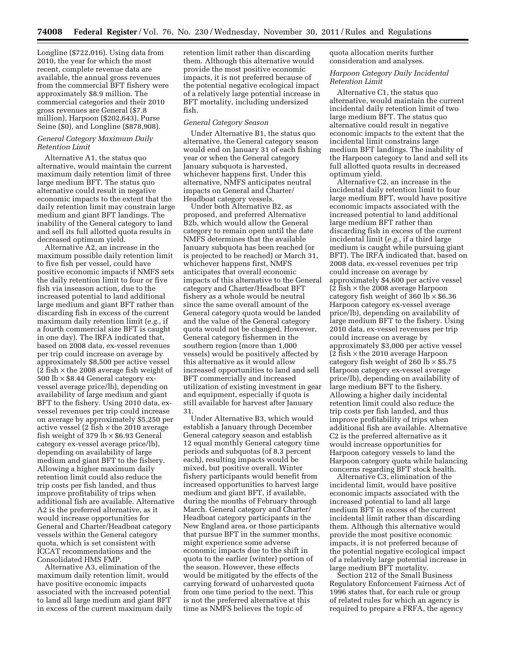Longline (\$722,016). Using data from 2010, the year for which the most recent, complete revenue data are available, the annual gross revenues from the commercial BFT fishery were approximately \$8.9 million. The commercial categories and their 2010 gross revenues are General (\$7.8 million), Harpoon (\$202,643), Purse Seine (\$0), and Longline (\$878,908).

### *General Category Maximum Daily Retention Limit*

Alternative A1, the status quo alternative, would maintain the current maximum daily retention limit of three large medium BFT. The status quo alternative could result in negative economic impacts to the extent that the daily retention limit may constrain large medium and giant BFT landings. The inability of the General category to land and sell its full allotted quota results in decreased optimum yield.

Alternative A2, an increase in the maximum possible daily retention limit to five fish per vessel, could have positive economic impacts if NMFS sets the daily retention limit to four or five fish via inseason action, due to the increased potential to land additional large medium and giant BFT rather than discarding fish in excess of the current maximum daily retention limit (*e.g.,* if a fourth commercial size BFT is caught in one day). The IRFA indicated that, based on 2008 data, ex-vessel revenues per trip could increase on average by approximately \$8,500 per active vessel  $(2 \text{ fish} \times \text{the } 2008 \text{ average fish weight of})$ 500 lb  $\times\$  \$8.44 General category exvessel average price/lb), depending on availability of large medium and giant BFT to the fishery. Using 2010 data, exvessel revenues per trip could increase on average by approximately \$5,250 per active vessel (2 fish  $\times$  the 2010 average fish weight of 379  $\rm{lb} \times $6.93$  General category ex-vessel average price/lb), depending on availability of large medium and giant BFT to the fishery. Allowing a higher maximum daily retention limit could also reduce the trip costs per fish landed, and thus improve profitability of trips when additional fish are available. Alternative A2 is the preferred alternative, as it would increase opportunities for General and Charter/Headboat category vessels within the General category quota, which is set consistent with ICCAT recommendations and the Consolidated HMS FMP.

Alternative A3, elimination of the maximum daily retention limit, would have positive economic impacts associated with the increased potential to land all large medium and giant BFT in excess of the current maximum daily retention limit rather than discarding them. Although this alternative would provide the most positive economic impacts, it is not preferred because of the potential negative ecological impact of a relatively large potential increase in BFT mortality, including undersized fish.

### *General Category Season*

Under Alternative B1, the status quo alternative, the General category season would end on January 31 of each fishing year or when the General category January subquota is harvested, whichever happens first. Under this alternative, NMFS anticipates neutral impacts on General and Charter/ Headboat category vessels.

Under both Alternative B2, as proposed, and preferred Alternative B2b, which would allow the General category to remain open until the date NMFS determines that the available January subquota has been reached (or is projected to be reached) or March 31, whichever happens first, NMFS anticipates that overall economic impacts of this alternative to the General category and Charter/Headboat BFT fishery as a whole would be neutral since the same overall amount of the General category quota would be landed and the value of the General category quota would not be changed. However, General category fishermen in the southern region (more than 1,000 vessels) would be positively affected by this alternative as it would allow increased opportunities to land and sell BFT commercially and increased utilization of existing investment in gear and equipment, especially if quota is still available for harvest after January 31.

Under Alternative B3, which would establish a January through December General category season and establish 12 equal monthly General category time periods and subquotas (of 8.3 percent each), resulting impacts would be mixed, but positive overall. Winter fishery participants would benefit from increased opportunities to harvest large medium and giant BFT, if available, during the months of February through March. General category and Charter/ Headboat category participants in the New England area, or those participants that pursue BFT in the summer months, might experience some adverse economic impacts due to the shift in quota to the earlier (winter) portion of the season. However, these effects would be mitigated by the effects of the carrying forward of unharvested quota from one time period to the next. This is not the preferred alternative at this time as NMFS believes the topic of

quota allocation merits further consideration and analyses.

# *Harpoon Category Daily Incidental Retention Limit*

Alternative C1, the status quo alternative, would maintain the current incidental daily retention limit of two large medium BFT. The status quo alternative could result in negative economic impacts to the extent that the incidental limit constrains large medium BFT landings. The inability of the Harpoon category to land and sell its full allotted quota results in decreased optimum yield.

Alternative C2, an increase in the incidental daily retention limit to four large medium BFT, would have positive economic impacts associated with the increased potential to land additional large medium BFT rather than discarding fish in excess of the current incidental limit (*e.g.,* if a third large medium is caught while pursuing giant BFT). The IRFA indicated that, based on 2008 data, ex-vessel revenues per trip could increase on average by approximately \$4,600 per active vessel  $(2 \text{ fish} \times \text{the } 2008 \text{ average Harpoon})$ category fish weight of 360 lb  $\times$  \$6.36 Harpoon category ex-vessel average price/lb), depending on availability of large medium BFT to the fishery. Using 2010 data, ex-vessel revenues per trip could increase on average by approximately \$3,000 per active vessel  $(2$  fish  $\times$  the 2010 average Harpoon category fish weight of 260 lb  $\times$  \$5.75 Harpoon category ex-vessel average price/lb), depending on availability of large medium BFT to the fishery. Allowing a higher daily incidental retention limit could also reduce the trip costs per fish landed, and thus improve profitability of trips when additional fish are available. Alternative C2 is the preferred alternative as it would increase opportunities for Harpoon category vessels to land the Harpoon category quota while balancing concerns regarding BFT stock health.

Alternative C3, elimination of the incidental limit, would have positive economic impacts associated with the increased potential to land all large medium BFT in excess of the current incidental limit rather than discarding them. Although this alternative would provide the most positive economic impacts, it is not preferred because of the potential negative ecological impact of a relatively large potential increase in large medium BFT mortality.

Section 212 of the Small Business Regulatory Enforcement Fairness Act of 1996 states that, for each rule or group of related rules for which an agency is required to prepare a FRFA, the agency